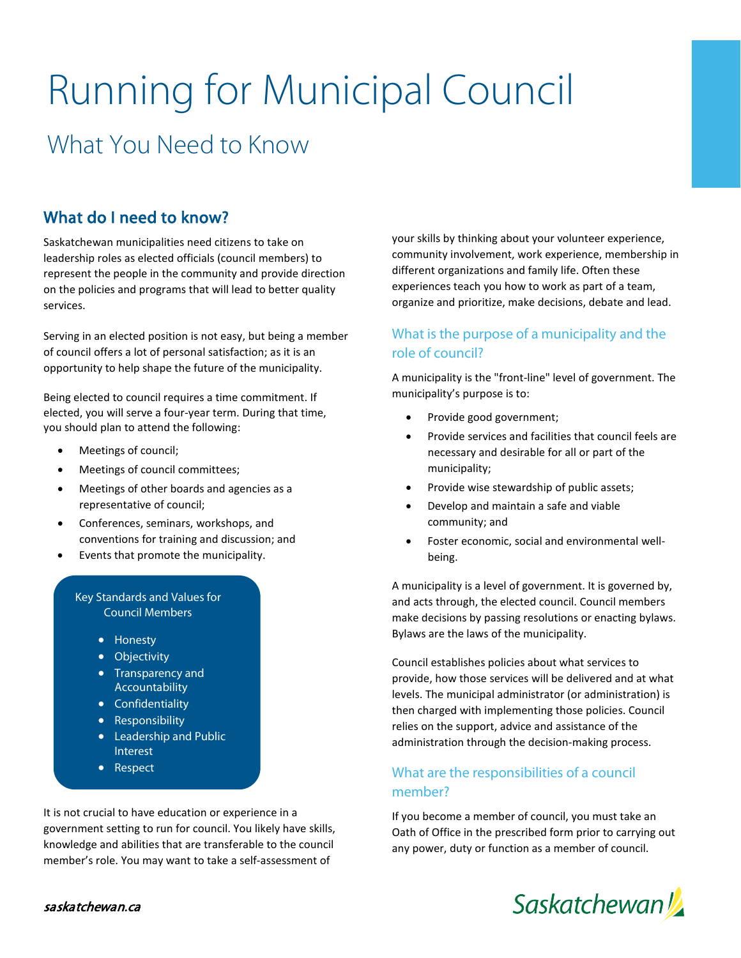# Running for Municipal Council What You Need to Know

# What do I need to know?

Saskatchewan municipalities need citizens to take on leadership roles as elected officials (council members) to represent the people in the community and provide direction on the policies and programs that will lead to better quality services.

Serving in an elected position is not easy, but being a member of council offers a lot of personal satisfaction; as it is an opportunity to help shape the future of the municipality.

Being elected to council requires a time commitment. If elected, you will serve a four-year term. During that time, you should plan to attend the following:

- Meetings of council;
- Meetings of council committees;
- Meetings of other boards and agencies as a representative of council;
- Conferences, seminars, workshops, and conventions for training and discussion; and
- Events that promote the municipality.

#### Key Standards and Values for Council Members

- Honesty
- Objectivity
- Transparency and Accountability
- Confidentiality
- Responsibility
- Leadership and Public Interest
- Respect

It is not crucial to have education or experience in a government setting to run for council. You likely have skills, knowledge and abilities that are transferable to the council member's role. You may want to take a self-assessment of

your skills by thinking about your volunteer experience, community involvement, work experience, membership in different organizations and family life. Often these experiences teach you how to work as part of a team, organize and prioritize, make decisions, debate and lead.

## What is the purpose of a municipality and the role of council?

A municipality is the "front-line" level of government. The municipality's purpose is to:

- Provide good government;
- Provide services and facilities that council feels are necessary and desirable for all or part of the municipality;
- Provide wise stewardship of public assets;
- Develop and maintain a safe and viable community; and
- Foster economic, social and environmental wellbeing.

A municipality is a level of government. It is governed by, and acts through, the elected council. Council members make decisions by passing resolutions or enacting bylaws. Bylaws are the laws of the municipality.

Council establishes policies about what services to provide, how those services will be delivered and at what levels. The municipal administrator (or administration) is then charged with implementing those policies. Council relies on the support, advice and assistance of the administration through the decision-making process.

## What are the responsibilities of a council member?

If you become a member of council, you must take an Oath of Office in the prescribed form prior to carrying out any power, duty or function as a member of council.

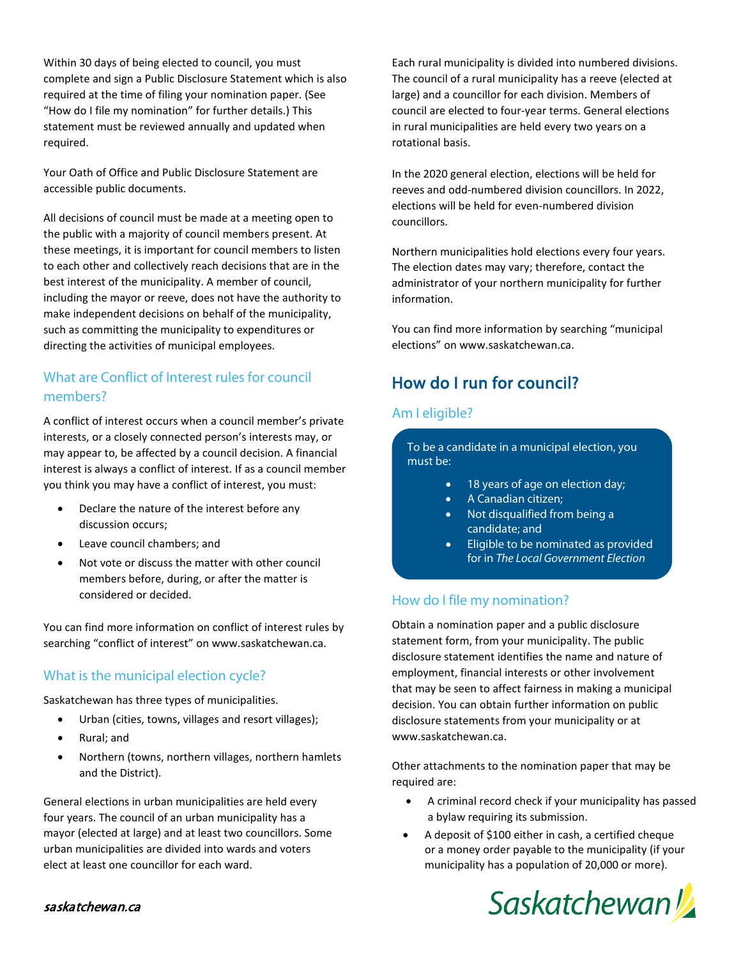Within 30 days of being elected to council, you must complete and sign a Public Disclosure Statement which is also required at the time of filing your nomination paper. (See "How do I file my nomination" for further details.) This statement must be reviewed annually and updated when required.

Your Oath of Office and Public Disclosure Statement are accessible public documents.

All decisions of council must be made at a meeting open to the public with a majority of council members present. At these meetings, it is important for council members to listen to each other and collectively reach decisions that are in the best interest of the municipality. A member of council, including the mayor or reeve, does not have the authority to make independent decisions on behalf of the municipality, such as committing the municipality to expenditures or directing the activities of municipal employees.

## What are Conflict of Interest rules for council members?

A conflict of interest occurs when a council member's private interests, or a closely connected person's interests may, or may appear to, be affected by a council decision. A financial interest is always a conflict of interest. If as a council member you think you may have a conflict of interest, you must:

- Declare the nature of the interest before any discussion occurs;
- Leave council chambers; and
- Not vote or discuss the matter with other council members before, during, or after the matter is considered or decided.

You can find more information on conflict of interest rules by searching "conflict of interest" on www.saskatchewan.ca.

## What is the municipal election cycle?

Saskatchewan has three types of municipalities.

- Urban (cities, towns, villages and resort villages);
- Rural; and
- Northern (towns, northern villages, northern hamlets and the District).

General elections in urban municipalities are held every four years. The council of an urban municipality has a mayor (elected at large) and at least two councillors. Some urban municipalities are divided into wards and voters elect at least one councillor for each ward.

Each rural municipality is divided into numbered divisions. The council of a rural municipality has a reeve (elected at large) and a councillor for each division. Members of council are elected to four-year terms. General elections in rural municipalities are held every two years on a rotational basis.

In the 2020 general election, elections will be held for reeves and odd-numbered division councillors. In 2022, elections will be held for even-numbered division councillors.

Northern municipalities hold elections every four years. The election dates may vary; therefore, contact the administrator of your northern municipality for further information.

You can find more information by searching "municipal elections" on [www.saskatchewan.ca.](http://www.saskatchewan.ca/)

# How do I run for council?

## Am I eligible?

To be a candidate in a municipal election, you must be:

- 18 years of age on election day;
- A Canadian citizen;
- Not disqualified from being a candidate; and
- Eligible to be nominated as provided for in *The Local Government Election*

## How do I file my nomination?

Obtain a nomination paper and a public disclosure statement form, from your municipality. The public disclosure statement identifies the name and nature of employment, financial interests or other involvement that may be seen to affect fairness in making a municipal decision. You can obtain further information on public disclosure statements from your municipality or at www.saskatchewan.ca.

Other attachments to the nomination paper that may be required are:

- A criminal record check if your municipality has passed a bylaw requiring its submission.
- A deposit of \$100 either in cash, a certified cheque or a money order payable to the municipality (if your municipality has a population of 20,000 or more).



#### saskatchewan.ca